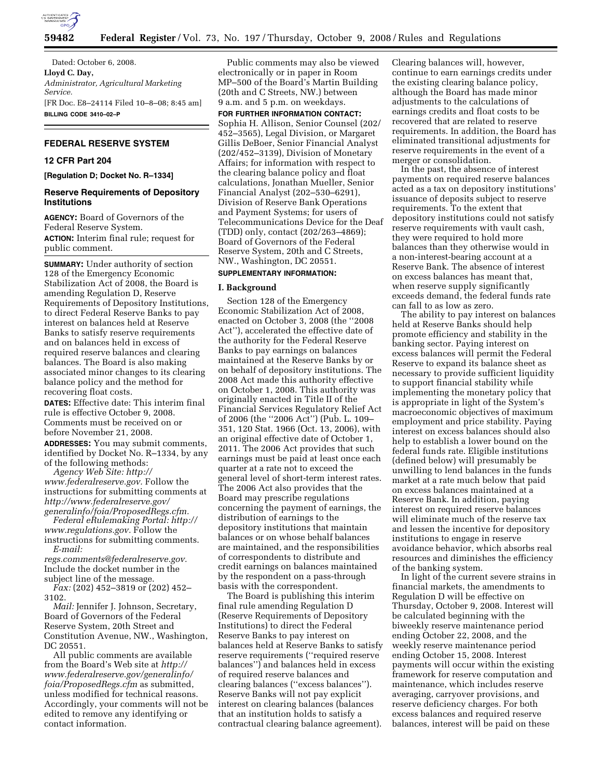

Dated: October 6, 2008. **Lloyd C. Day,**  *Administrator, Agricultural Marketing Service.*  [FR Doc. E8–24114 Filed 10–8–08; 8:45 am] **BILLING CODE 3410–02–P** 

# **FEDERAL RESERVE SYSTEM**

# **12 CFR Part 204**

**[Regulation D; Docket No. R–1334]** 

# **Reserve Requirements of Depository Institutions**

**AGENCY:** Board of Governors of the Federal Reserve System. **ACTION:** Interim final rule; request for public comment.

**SUMMARY:** Under authority of section 128 of the Emergency Economic Stabilization Act of 2008, the Board is amending Regulation D, Reserve Requirements of Depository Institutions, to direct Federal Reserve Banks to pay interest on balances held at Reserve Banks to satisfy reserve requirements and on balances held in excess of required reserve balances and clearing balances. The Board is also making associated minor changes to its clearing balance policy and the method for recovering float costs.

**DATES:** Effective date: This interim final rule is effective October 9, 2008. Comments must be received on or before November 21, 2008.

**ADDRESSES:** You may submit comments, identified by Docket No. R–1334, by any of the following methods:

*Agency Web Site: http:// www.federalreserve.gov.* Follow the instructions for submitting comments at *http://www.federalreserve.gov/ generalinfo/foia/ProposedRegs.cfm.* 

*Federal eRulemaking Portal: http:// www.regulations.gov.* Follow the instructions for submitting comments.

*E-mail: regs.comments@federalreserve.gov.* 

Include the docket number in the subject line of the message.

*Fax:* (202) 452–3819 or (202) 452– 3102.

*Mail:* Jennifer J. Johnson, Secretary, Board of Governors of the Federal Reserve System, 20th Street and Constitution Avenue, NW., Washington, DC 20551.

All public comments are available from the Board's Web site at *http:// www.federalreserve.gov/generalinfo/ foia/ProposedRegs.cfm* as submitted, unless modified for technical reasons. Accordingly, your comments will not be edited to remove any identifying or contact information.

Public comments may also be viewed electronically or in paper in Room MP–500 of the Board's Martin Building (20th and C Streets, NW.) between 9 a.m. and 5 p.m. on weekdays.

# **FOR FURTHER INFORMATION CONTACT:**

Sophia H. Allison, Senior Counsel (202/ 452–3565), Legal Division, or Margaret Gillis DeBoer, Senior Financial Analyst (202/452–3139), Division of Monetary Affairs; for information with respect to the clearing balance policy and float calculations, Jonathan Mueller, Senior Financial Analyst (202–530–6291), Division of Reserve Bank Operations and Payment Systems; for users of Telecommunications Device for the Deaf (TDD) only, contact (202/263–4869); Board of Governors of the Federal Reserve System, 20th and C Streets, NW., Washington, DC 20551.

#### **SUPPLEMENTARY INFORMATION:**

#### **I. Background**

Section 128 of the Emergency Economic Stabilization Act of 2008, enacted on October 3, 2008 (the ''2008 Act''), accelerated the effective date of the authority for the Federal Reserve Banks to pay earnings on balances maintained at the Reserve Banks by or on behalf of depository institutions. The 2008 Act made this authority effective on October 1, 2008. This authority was originally enacted in Title II of the Financial Services Regulatory Relief Act of 2006 (the ''2006 Act'') (Pub. L. 109– 351, 120 Stat. 1966 (Oct. 13, 2006), with an original effective date of October 1, 2011. The 2006 Act provides that such earnings must be paid at least once each quarter at a rate not to exceed the general level of short-term interest rates. The 2006 Act also provides that the Board may prescribe regulations concerning the payment of earnings, the distribution of earnings to the depository institutions that maintain balances or on whose behalf balances are maintained, and the responsibilities of correspondents to distribute and credit earnings on balances maintained by the respondent on a pass-through basis with the correspondent.

The Board is publishing this interim final rule amending Regulation D (Reserve Requirements of Depository Institutions) to direct the Federal Reserve Banks to pay interest on balances held at Reserve Banks to satisfy reserve requirements (''required reserve balances'') and balances held in excess of required reserve balances and clearing balances (''excess balances''). Reserve Banks will not pay explicit interest on clearing balances (balances that an institution holds to satisfy a contractual clearing balance agreement).

Clearing balances will, however, continue to earn earnings credits under the existing clearing balance policy, although the Board has made minor adjustments to the calculations of earnings credits and float costs to be recovered that are related to reserve requirements. In addition, the Board has eliminated transitional adjustments for reserve requirements in the event of a merger or consolidation.

In the past, the absence of interest payments on required reserve balances acted as a tax on depository institutions' issuance of deposits subject to reserve requirements. To the extent that depository institutions could not satisfy reserve requirements with vault cash, they were required to hold more balances than they otherwise would in a non-interest-bearing account at a Reserve Bank. The absence of interest on excess balances has meant that, when reserve supply significantly exceeds demand, the federal funds rate can fall to as low as zero.

The ability to pay interest on balances held at Reserve Banks should help promote efficiency and stability in the banking sector. Paying interest on excess balances will permit the Federal Reserve to expand its balance sheet as necessary to provide sufficient liquidity to support financial stability while implementing the monetary policy that is appropriate in light of the System's macroeconomic objectives of maximum employment and price stability. Paying interest on excess balances should also help to establish a lower bound on the federal funds rate. Eligible institutions (defined below) will presumably be unwilling to lend balances in the funds market at a rate much below that paid on excess balances maintained at a Reserve Bank. In addition, paying interest on required reserve balances will eliminate much of the reserve tax and lessen the incentive for depository institutions to engage in reserve avoidance behavior, which absorbs real resources and diminishes the efficiency of the banking system.

In light of the current severe strains in financial markets, the amendments to Regulation D will be effective on Thursday, October 9, 2008. Interest will be calculated beginning with the biweekly reserve maintenance period ending October 22, 2008, and the weekly reserve maintenance period ending October 15, 2008. Interest payments will occur within the existing framework for reserve computation and maintenance, which includes reserve averaging, carryover provisions, and reserve deficiency charges. For both excess balances and required reserve balances, interest will be paid on these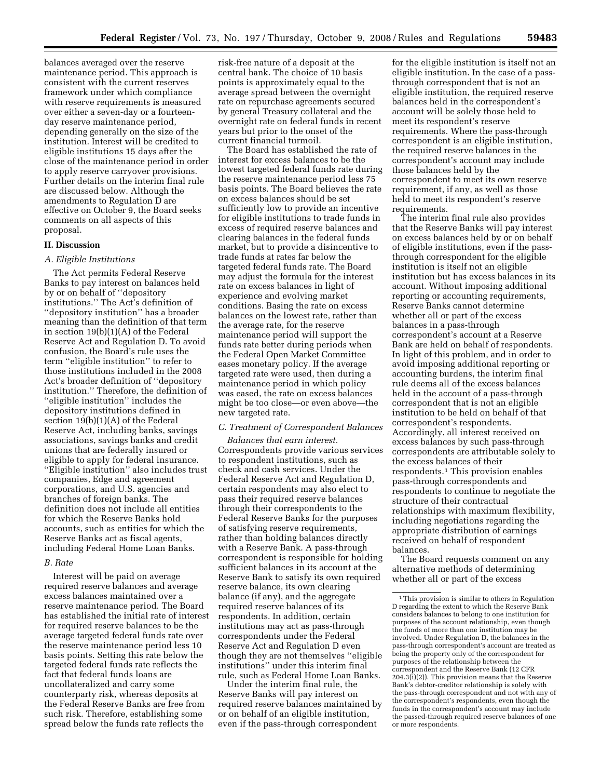balances averaged over the reserve maintenance period. This approach is consistent with the current reserves framework under which compliance with reserve requirements is measured over either a seven-day or a fourteenday reserve maintenance period, depending generally on the size of the institution. Interest will be credited to eligible institutions 15 days after the close of the maintenance period in order to apply reserve carryover provisions. Further details on the interim final rule are discussed below. Although the amendments to Regulation D are effective on October 9, the Board seeks comments on all aspects of this proposal.

#### **II. Discussion**

### *A. Eligible Institutions*

The Act permits Federal Reserve Banks to pay interest on balances held by or on behalf of ''depository institutions.'' The Act's definition of ''depository institution'' has a broader meaning than the definition of that term in section 19(b)(1)(A) of the Federal Reserve Act and Regulation D. To avoid confusion, the Board's rule uses the term ''eligible institution'' to refer to those institutions included in the 2008 Act's broader definition of ''depository institution.'' Therefore, the definition of ''eligible institution'' includes the depository institutions defined in section 19(b)(1)(A) of the Federal Reserve Act, including banks, savings associations, savings banks and credit unions that are federally insured or eligible to apply for federal insurance. ''Eligible institution'' also includes trust companies, Edge and agreement corporations, and U.S. agencies and branches of foreign banks. The definition does not include all entities for which the Reserve Banks hold accounts, such as entities for which the Reserve Banks act as fiscal agents, including Federal Home Loan Banks.

### *B. Rate*

Interest will be paid on average required reserve balances and average excess balances maintained over a reserve maintenance period. The Board has established the initial rate of interest for required reserve balances to be the average targeted federal funds rate over the reserve maintenance period less 10 basis points. Setting this rate below the targeted federal funds rate reflects the fact that federal funds loans are uncollateralized and carry some counterparty risk, whereas deposits at the Federal Reserve Banks are free from such risk. Therefore, establishing some spread below the funds rate reflects the

risk-free nature of a deposit at the central bank. The choice of 10 basis points is approximately equal to the average spread between the overnight rate on repurchase agreements secured by general Treasury collateral and the overnight rate on federal funds in recent years but prior to the onset of the current financial turmoil.

The Board has established the rate of interest for excess balances to be the lowest targeted federal funds rate during the reserve maintenance period less 75 basis points. The Board believes the rate on excess balances should be set sufficiently low to provide an incentive for eligible institutions to trade funds in excess of required reserve balances and clearing balances in the federal funds market, but to provide a disincentive to trade funds at rates far below the targeted federal funds rate. The Board may adjust the formula for the interest rate on excess balances in light of experience and evolving market conditions. Basing the rate on excess balances on the lowest rate, rather than the average rate, for the reserve maintenance period will support the funds rate better during periods when the Federal Open Market Committee eases monetary policy. If the average targeted rate were used, then during a maintenance period in which policy was eased, the rate on excess balances might be too close—or even above—the new targeted rate.

#### *C. Treatment of Correspondent Balances*

*Balances that earn interest.*  Correspondents provide various services to respondent institutions, such as check and cash services. Under the Federal Reserve Act and Regulation D, certain respondents may also elect to pass their required reserve balances through their correspondents to the Federal Reserve Banks for the purposes of satisfying reserve requirements, rather than holding balances directly with a Reserve Bank. A pass-through correspondent is responsible for holding sufficient balances in its account at the Reserve Bank to satisfy its own required reserve balance, its own clearing balance (if any), and the aggregate required reserve balances of its respondents. In addition, certain institutions may act as pass-through correspondents under the Federal Reserve Act and Regulation D even though they are not themselves ''eligible institutions'' under this interim final rule, such as Federal Home Loan Banks.

Under the interim final rule, the Reserve Banks will pay interest on required reserve balances maintained by or on behalf of an eligible institution, even if the pass-through correspondent

for the eligible institution is itself not an eligible institution. In the case of a passthrough correspondent that is not an eligible institution, the required reserve balances held in the correspondent's account will be solely those held to meet its respondent's reserve requirements. Where the pass-through correspondent is an eligible institution, the required reserve balances in the correspondent's account may include those balances held by the correspondent to meet its own reserve requirement, if any, as well as those held to meet its respondent's reserve requirements.

The interim final rule also provides that the Reserve Banks will pay interest on excess balances held by or on behalf of eligible institutions, even if the passthrough correspondent for the eligible institution is itself not an eligible institution but has excess balances in its account. Without imposing additional reporting or accounting requirements, Reserve Banks cannot determine whether all or part of the excess balances in a pass-through correspondent's account at a Reserve Bank are held on behalf of respondents. In light of this problem, and in order to avoid imposing additional reporting or accounting burdens, the interim final rule deems all of the excess balances held in the account of a pass-through correspondent that is not an eligible institution to be held on behalf of that correspondent's respondents. Accordingly, all interest received on excess balances by such pass-through correspondents are attributable solely to the excess balances of their respondents.1 This provision enables pass-through correspondents and respondents to continue to negotiate the structure of their contractual relationships with maximum flexibility, including negotiations regarding the appropriate distribution of earnings received on behalf of respondent balances.

The Board requests comment on any alternative methods of determining whether all or part of the excess

<sup>1</sup>This provision is similar to others in Regulation D regarding the extent to which the Reserve Bank considers balances to belong to one institution for purposes of the account relationship, even though the funds of more than one institution may be involved. Under Regulation D, the balances in the pass-through correspondent's account are treated as being the property only of the correspondent for purposes of the relationship between the correspondent and the Reserve Bank (12 CFR  $204.3(i)(2)$ ). This provision means that the Reserve Bank's debtor-creditor relationship is solely with the pass-through correspondent and not with any of the correspondent's respondents, even though the funds in the correspondent's account may include the passed-through required reserve balances of one or more respondents.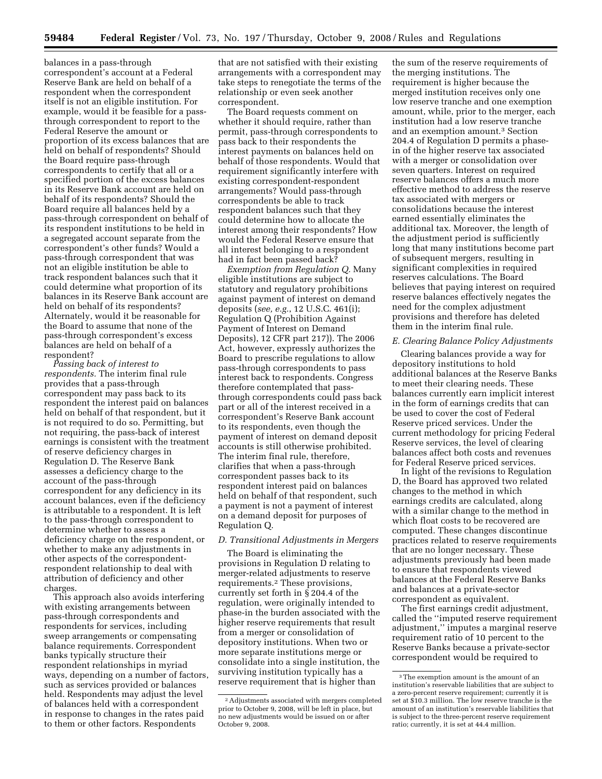balances in a pass-through correspondent's account at a Federal Reserve Bank are held on behalf of a respondent when the correspondent itself is not an eligible institution. For example, would it be feasible for a passthrough correspondent to report to the Federal Reserve the amount or proportion of its excess balances that are held on behalf of respondents? Should the Board require pass-through correspondents to certify that all or a specified portion of the excess balances in its Reserve Bank account are held on behalf of its respondents? Should the Board require all balances held by a pass-through correspondent on behalf of its respondent institutions to be held in a segregated account separate from the correspondent's other funds? Would a pass-through correspondent that was not an eligible institution be able to track respondent balances such that it could determine what proportion of its balances in its Reserve Bank account are held on behalf of its respondents? Alternately, would it be reasonable for the Board to assume that none of the pass-through correspondent's excess balances are held on behalf of a respondent?

*Passing back of interest to respondents.* The interim final rule provides that a pass-through correspondent may pass back to its respondent the interest paid on balances held on behalf of that respondent, but it is not required to do so. Permitting, but not requiring, the pass-back of interest earnings is consistent with the treatment of reserve deficiency charges in Regulation D. The Reserve Bank assesses a deficiency charge to the account of the pass-through correspondent for any deficiency in its account balances, even if the deficiency is attributable to a respondent. It is left to the pass-through correspondent to determine whether to assess a deficiency charge on the respondent, or whether to make any adjustments in other aspects of the correspondentrespondent relationship to deal with attribution of deficiency and other charges.

This approach also avoids interfering with existing arrangements between pass-through correspondents and respondents for services, including sweep arrangements or compensating balance requirements. Correspondent banks typically structure their respondent relationships in myriad ways, depending on a number of factors, such as services provided or balances held. Respondents may adjust the level of balances held with a correspondent in response to changes in the rates paid to them or other factors. Respondents

that are not satisfied with their existing arrangements with a correspondent may take steps to renegotiate the terms of the relationship or even seek another correspondent.

The Board requests comment on whether it should require, rather than permit, pass-through correspondents to pass back to their respondents the interest payments on balances held on behalf of those respondents. Would that requirement significantly interfere with existing correspondent-respondent arrangements? Would pass-through correspondents be able to track respondent balances such that they could determine how to allocate the interest among their respondents? How would the Federal Reserve ensure that all interest belonging to a respondent had in fact been passed back?

*Exemption from Regulation Q.* Many eligible institutions are subject to statutory and regulatory prohibitions against payment of interest on demand deposits (*see, e.g.*, 12 U.S.C. 461(i); Regulation Q (Prohibition Against Payment of Interest on Demand Deposits), 12 CFR part 217)). The 2006 Act, however, expressly authorizes the Board to prescribe regulations to allow pass-through correspondents to pass interest back to respondents. Congress therefore contemplated that passthrough correspondents could pass back part or all of the interest received in a correspondent's Reserve Bank account to its respondents, even though the payment of interest on demand deposit accounts is still otherwise prohibited. The interim final rule, therefore, clarifies that when a pass-through correspondent passes back to its respondent interest paid on balances held on behalf of that respondent, such a payment is not a payment of interest on a demand deposit for purposes of Regulation Q.

### *D. Transitional Adjustments in Mergers*

The Board is eliminating the provisions in Regulation D relating to merger-related adjustments to reserve requirements.2 These provisions, currently set forth in § 204.4 of the regulation, were originally intended to phase-in the burden associated with the higher reserve requirements that result from a merger or consolidation of depository institutions. When two or more separate institutions merge or consolidate into a single institution, the surviving institution typically has a reserve requirement that is higher than

the sum of the reserve requirements of the merging institutions. The requirement is higher because the merged institution receives only one low reserve tranche and one exemption amount, while, prior to the merger, each institution had a low reserve tranche and an exemption amount.3 Section 204.4 of Regulation D permits a phasein of the higher reserve tax associated with a merger or consolidation over seven quarters. Interest on required reserve balances offers a much more effective method to address the reserve tax associated with mergers or consolidations because the interest earned essentially eliminates the additional tax. Moreover, the length of the adjustment period is sufficiently long that many institutions become part of subsequent mergers, resulting in significant complexities in required reserves calculations. The Board believes that paying interest on required reserve balances effectively negates the need for the complex adjustment provisions and therefore has deleted them in the interim final rule.

#### *E. Clearing Balance Policy Adjustments*

Clearing balances provide a way for depository institutions to hold additional balances at the Reserve Banks to meet their clearing needs. These balances currently earn implicit interest in the form of earnings credits that can be used to cover the cost of Federal Reserve priced services. Under the current methodology for pricing Federal Reserve services, the level of clearing balances affect both costs and revenues for Federal Reserve priced services.

In light of the revisions to Regulation D, the Board has approved two related changes to the method in which earnings credits are calculated, along with a similar change to the method in which float costs to be recovered are computed. These changes discontinue practices related to reserve requirements that are no longer necessary. These adjustments previously had been made to ensure that respondents viewed balances at the Federal Reserve Banks and balances at a private-sector correspondent as equivalent.

The first earnings credit adjustment, called the ''imputed reserve requirement adjustment,'' imputes a marginal reserve requirement ratio of 10 percent to the Reserve Banks because a private-sector correspondent would be required to

<sup>2</sup>Adjustments associated with mergers completed prior to October 9, 2008, will be left in place, but no new adjustments would be issued on or after October 9, 2008.

<sup>3</sup>The exemption amount is the amount of an institution's reservable liabilities that are subject to a zero-percent reserve requirement; currently it is set at \$10.3 million. The low reserve tranche is the amount of an institution's reservable liabilities that is subject to the three-percent reserve requirement ratio; currently, it is set at 44.4 million.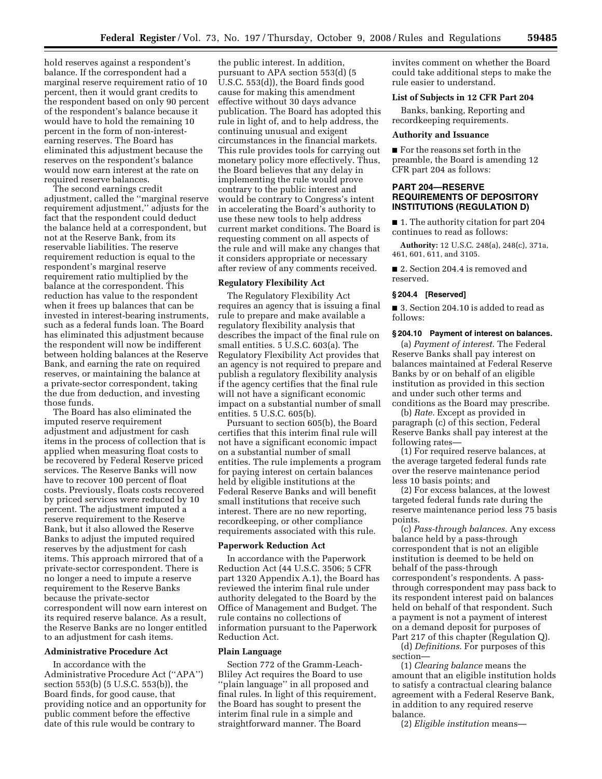hold reserves against a respondent's balance. If the correspondent had a marginal reserve requirement ratio of 10 percent, then it would grant credits to the respondent based on only 90 percent of the respondent's balance because it would have to hold the remaining 10 percent in the form of non-interestearning reserves. The Board has eliminated this adjustment because the reserves on the respondent's balance would now earn interest at the rate on required reserve balances.

The second earnings credit adjustment, called the ''marginal reserve requirement adjustment,'' adjusts for the fact that the respondent could deduct the balance held at a correspondent, but not at the Reserve Bank, from its reservable liabilities. The reserve requirement reduction is equal to the respondent's marginal reserve requirement ratio multiplied by the balance at the correspondent. This reduction has value to the respondent when it frees up balances that can be invested in interest-bearing instruments, such as a federal funds loan. The Board has eliminated this adjustment because the respondent will now be indifferent between holding balances at the Reserve Bank, and earning the rate on required reserves, or maintaining the balance at a private-sector correspondent, taking the due from deduction, and investing those funds.

The Board has also eliminated the imputed reserve requirement adjustment and adjustment for cash items in the process of collection that is applied when measuring float costs to be recovered by Federal Reserve priced services. The Reserve Banks will now have to recover 100 percent of float costs. Previously, floats costs recovered by priced services were reduced by 10 percent. The adjustment imputed a reserve requirement to the Reserve Bank, but it also allowed the Reserve Banks to adjust the imputed required reserves by the adjustment for cash items. This approach mirrored that of a private-sector correspondent. There is no longer a need to impute a reserve requirement to the Reserve Banks because the private-sector correspondent will now earn interest on its required reserve balance. As a result, the Reserve Banks are no longer entitled to an adjustment for cash items.

# **Administrative Procedure Act**

In accordance with the Administrative Procedure Act (''APA'') section 553(b) (5 U.S.C. 553(b)), the Board finds, for good cause, that providing notice and an opportunity for public comment before the effective date of this rule would be contrary to

the public interest. In addition, pursuant to APA section 553(d) (5 U.S.C. 553(d)), the Board finds good cause for making this amendment effective without 30 days advance publication. The Board has adopted this rule in light of, and to help address, the continuing unusual and exigent circumstances in the financial markets. This rule provides tools for carrying out monetary policy more effectively. Thus, the Board believes that any delay in implementing the rule would prove contrary to the public interest and would be contrary to Congress's intent in accelerating the Board's authority to use these new tools to help address current market conditions. The Board is requesting comment on all aspects of the rule and will make any changes that it considers appropriate or necessary after review of any comments received.

## **Regulatory Flexibility Act**

The Regulatory Flexibility Act requires an agency that is issuing a final rule to prepare and make available a regulatory flexibility analysis that describes the impact of the final rule on small entities. 5 U.S.C. 603(a). The Regulatory Flexibility Act provides that an agency is not required to prepare and publish a regulatory flexibility analysis if the agency certifies that the final rule will not have a significant economic impact on a substantial number of small entities. 5 U.S.C. 605(b).

Pursuant to section 605(b), the Board certifies that this interim final rule will not have a significant economic impact on a substantial number of small entities. The rule implements a program for paying interest on certain balances held by eligible institutions at the Federal Reserve Banks and will benefit small institutions that receive such interest. There are no new reporting, recordkeeping, or other compliance requirements associated with this rule.

#### **Paperwork Reduction Act**

In accordance with the Paperwork Reduction Act (44 U.S.C. 3506; 5 CFR part 1320 Appendix A.1), the Board has reviewed the interim final rule under authority delegated to the Board by the Office of Management and Budget. The rule contains no collections of information pursuant to the Paperwork Reduction Act.

#### **Plain Language**

Section 772 of the Gramm-Leach-Bliley Act requires the Board to use ''plain language'' in all proposed and final rules. In light of this requirement, the Board has sought to present the interim final rule in a simple and straightforward manner. The Board

invites comment on whether the Board could take additional steps to make the rule easier to understand.

## **List of Subjects in 12 CFR Part 204**

Banks, banking, Reporting and recordkeeping requirements.

## **Authority and Issuance**

■ For the reasons set forth in the preamble, the Board is amending 12 CFR part 204 as follows:

# **PART 204—RESERVE REQUIREMENTS OF DEPOSITORY INSTITUTIONS (REGULATION D)**

■ 1. The authority citation for part 204 continues to read as follows:

**Authority:** 12 U.S.C. 248(a), 248(c), 371a, 461, 601, 611, and 3105.

■ 2. Section 204.4 is removed and reserved.

#### **§ 204.4 [Reserved]**

■ 3. Section 204.10 is added to read as follows:

### **§ 204.10 Payment of interest on balances.**

(a) *Payment of interest*. The Federal Reserve Banks shall pay interest on balances maintained at Federal Reserve Banks by or on behalf of an eligible institution as provided in this section and under such other terms and conditions as the Board may prescribe.

(b) *Rate*. Except as provided in paragraph (c) of this section, Federal Reserve Banks shall pay interest at the following rates—

(1) For required reserve balances, at the average targeted federal funds rate over the reserve maintenance period less 10 basis points; and

(2) For excess balances, at the lowest targeted federal funds rate during the reserve maintenance period less 75 basis points.

(c) *Pass-through balances*. Any excess balance held by a pass-through correspondent that is not an eligible institution is deemed to be held on behalf of the pass-through correspondent's respondents. A passthrough correspondent may pass back to its respondent interest paid on balances held on behalf of that respondent. Such a payment is not a payment of interest on a demand deposit for purposes of Part 217 of this chapter (Regulation Q).

(d) *Definitions*. For purposes of this section—

(1) *Clearing balance* means the amount that an eligible institution holds to satisfy a contractual clearing balance agreement with a Federal Reserve Bank, in addition to any required reserve balance.

(2) *Eligible institution* means—